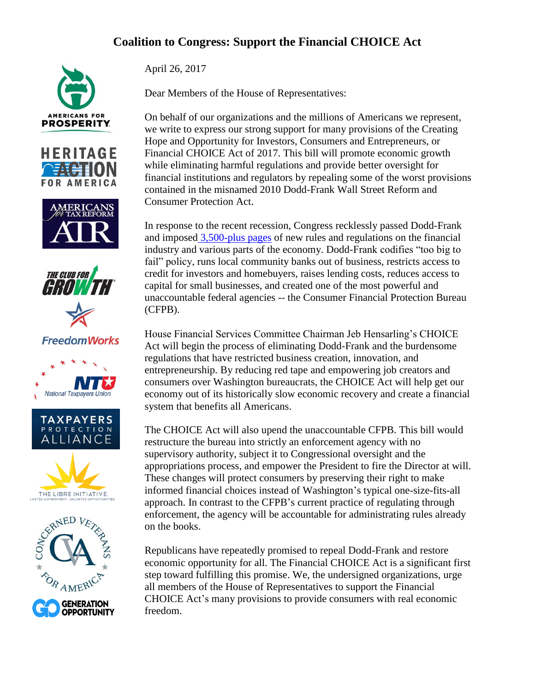## **Coalition to Congress: Support the Financial CHOICE Act**











**FreedomWorks** 









April 26, 2017

Dear Members of the House of Representatives:

On behalf of our organizations and the millions of Americans we represent, we write to express our strong support for many provisions of the Creating Hope and Opportunity for Investors, Consumers and Entrepreneurs, or Financial CHOICE Act of 2017. This bill will promote economic growth while eliminating harmful regulations and provide better oversight for financial institutions and regulators by repealing some of the worst provisions contained in the misnamed 2010 Dodd-Frank Wall Street Reform and Consumer Protection Act.

In response to the recent recession, Congress recklessly passed Dodd-Frank and imposed [3,500-plus pages](http://www.heritage.org/research/reports/2013/12/doddfrank-mortgage-rules-unleash-predatory-regulators) of new rules and regulations on the financial industry and various parts of the economy. Dodd-Frank codifies "too big to fail" policy, runs local community banks out of business, restricts access to credit for investors and homebuyers, raises lending costs, reduces access to capital for small businesses, and created one of the most powerful and unaccountable federal agencies -- the Consumer Financial Protection Bureau (CFPB).

House Financial Services Committee Chairman Jeb Hensarling's CHOICE Act will begin the process of eliminating Dodd-Frank and the burdensome regulations that have restricted business creation, innovation, and entrepreneurship. By reducing red tape and empowering job creators and consumers over Washington bureaucrats, the CHOICE Act will help get our economy out of its historically slow economic recovery and create a financial system that benefits all Americans.

The CHOICE Act will also upend the unaccountable CFPB. This bill would restructure the bureau into strictly an enforcement agency with no supervisory authority, subject it to Congressional oversight and the appropriations process, and empower the President to fire the Director at will. These changes will protect consumers by preserving their right to make informed financial choices instead of Washington's typical one-size-fits-all approach. In contrast to the CFPB's current practice of regulating through enforcement, the agency will be accountable for administrating rules already on the books.

Republicans have repeatedly promised to repeal Dodd-Frank and restore economic opportunity for all. The Financial CHOICE Act is a significant first step toward fulfilling this promise. We, the undersigned organizations, urge all members of the House of Representatives to support the Financial CHOICE Act's many provisions to provide consumers with real economic freedom.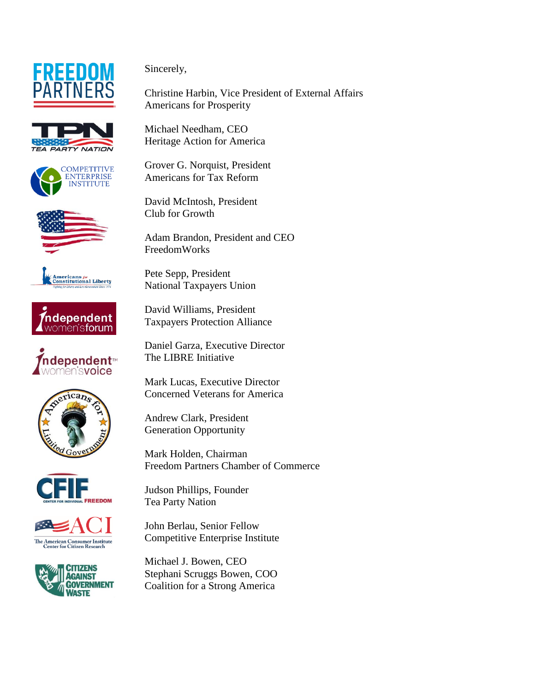



















Sincerely,

Christine Harbin, Vice President of External Affairs Americans for Prosperity

Michael Needham, CEO Heritage Action for America

Grover G. Norquist, President Americans for Tax Reform

David McIntosh, President Club for Growth

Adam Brandon, President and CEO FreedomWorks

Pete Sepp, President National Taxpayers Union

David Williams, President Taxpayers Protection Alliance

Daniel Garza, Executive Director The LIBRE Initiative

Mark Lucas, Executive Director Concerned Veterans for America

Andrew Clark, President Generation Opportunity

Mark Holden, Chairman Freedom Partners Chamber of Commerce

Judson Phillips, Founder Tea Party Nation

John Berlau, Senior Fellow Competitive Enterprise Institute

Michael J. Bowen, CEO Stephani Scruggs Bowen, COO Coalition for a Strong America